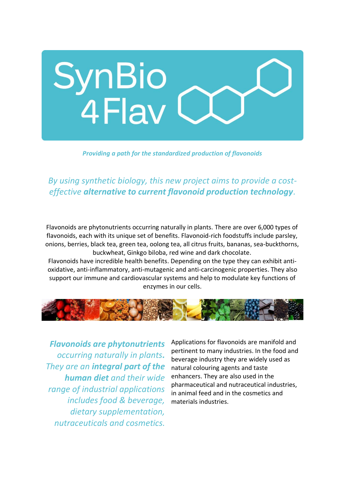

## *Providing a path for the standardized production of flavonoids*

*By using synthetic biology, this new project aims to provide a costeffective alternative to current flavonoid production technology.*

Flavonoids are phytonutrients occurring naturally in plants. There are over 6,000 types of flavonoids, each with its unique set of benefits. Flavonoid-rich foodstuffs include parsley, onions, berries, black tea, green tea, oolong tea, all citrus fruits, bananas, sea-buckthorns, buckwheat, Ginkgo biloba, red wine and dark chocolate.

Flavonoids have incredible health benefits. Depending on the type they can exhibit antioxidative, anti-inflammatory, anti-mutagenic and anti-carcinogenic properties. They also support our immune and cardiovascular systems and help to modulate key functions of enzymes in our cells.



*Flavonoids are phytonutrients occurring naturally in plants. They are an integral part of the human diet and their wide range of industrial applications includes food & beverage, dietary supplementation, nutraceuticals and cosmetics.*

Applications for flavonoids are manifold and pertinent to many industries. In the food and beverage industry they are widely used as natural colouring agents and taste enhancers. They are also used in the pharmaceutical and nutraceutical industries, in animal feed and in the cosmetics and materials industries.